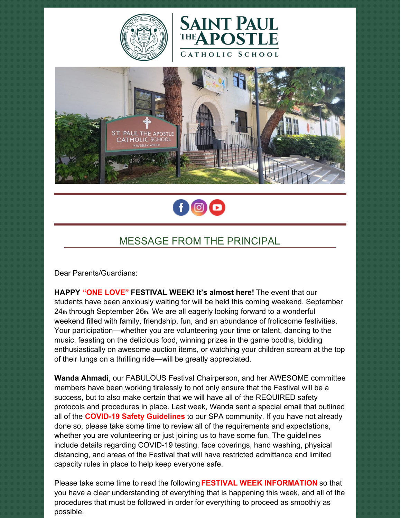







## MESSAGE FROM THE PRINCIPAL

Dear Parents/Guardians:

**HAPPY "ONE LOVE" FESTIVAL WEEK! It's almost here!** The event that our students have been anxiously waiting for will be held this coming weekend, September 24th through September 26th. We are all eagerly looking forward to a wonderful weekend filled with family, friendship, fun, and an abundance of frolicsome festivities. Your participation—whether you are volunteering your time or talent, dancing to the music, feasting on the delicious food, winning prizes in the game booths, bidding enthusiastically on awesome auction items, or watching your children scream at the top of their lungs on a thrilling ride—will be greatly appreciated.

**Wanda Ahmadi**, our FABULOUS Festival Chairperson, and her AWESOME committee members have been working tirelessly to not only ensure that the Festival will be a success, but to also make certain that we will have all of the REQUIRED safety protocols and procedures in place. Last week, Wanda sent a special email that outlined all of the **COVID-19 Safety Guidelines** to our SPA community. If you have not already done so, please take some time to review all of the requirements and expectations, whether you are volunteering or just joining us to have some fun. The guidelines include details regarding COVID-19 testing, face coverings, hand washing, physical distancing, and areas of the Festival that will have restricted admittance and limited capacity rules in place to help keep everyone safe.

Please take some time to read the following **FESTIVAL WEEK INFORMATION** so that you have a clear understanding of everything that is happening this week, and all of the procedures that must be followed in order for everything to proceed as smoothly as possible.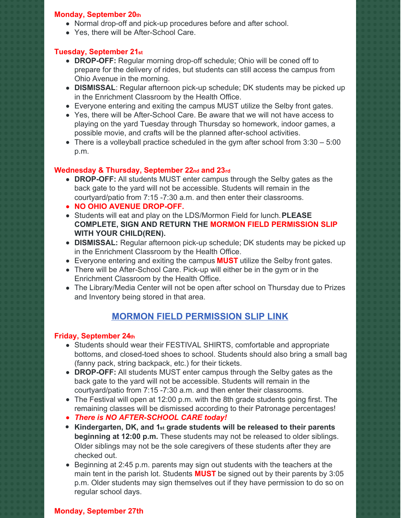#### **Monday, September 20th**

- Normal drop-off and pick-up procedures before and after school.
- Yes, there will be After-School Care.

#### **Tuesday, September 21st**

- **DROP-OFF:** Regular morning drop-off schedule; Ohio will be coned off to prepare for the delivery of rides, but students can still access the campus from Ohio Avenue in the morning.
- **DISMISSAL**: Regular afternoon pick-up schedule; DK students may be picked up in the Enrichment Classroom by the Health Office.
- Everyone entering and exiting the campus MUST utilize the Selby front gates.
- Yes, there will be After-School Care. Be aware that we will not have access to playing on the yard Tuesday through Thursday so homework, indoor games, a possible movie, and crafts will be the planned after-school activities.
- $\bullet$  There is a volleyball practice scheduled in the gym after school from 3:30  $-5:00$ p.m.

#### **Wednesday & Thursday, September 22nd and 23rd**

- **DROP-OFF:** All students MUST enter campus through the Selby gates as the back gate to the yard will not be accessible. Students will remain in the courtyard/patio from 7:15 -7:30 a.m. and then enter their classrooms.
- **NO OHIO AVENUE DROP-OFF.**
- Students will eat and play on the LDS/Mormon Field for lunch.**PLEASE COMPLETE, SIGN AND RETURN THE MORMON FIELD PERMISSION SLIP WITH YOUR CHILD(REN).**
- **DISMISSAL:** Regular afternoon pick-up schedule; DK students may be picked up in the Enrichment Classroom by the Health Office.
- Everyone entering and exiting the campus **MUST** utilize the Selby front gates.
- There will be After-School Care. Pick-up will either be in the gym or in the Enrichment Classroom by the Health Office.
- The Library/Media Center will not be open after school on Thursday due to Prizes and Inventory being stored in that area.

## **MORMON FIELD [PERMISSION](https://school.sp-apostle.org/wp-content/uploads/2021/09/Field_Trip_Form_for_Mormon_Field.pdf) SLIP LINK**

#### **Friday, September 24th**

- Students should wear their FESTIVAL SHIRTS, comfortable and appropriate bottoms, and closed-toed shoes to school. Students should also bring a small bag (fanny pack, string backpack, etc.) for their tickets.
- **DROP-OFF:** All students MUST enter campus through the Selby gates as the back gate to the yard will not be accessible. Students will remain in the courtyard/patio from 7:15 -7:30 a.m. and then enter their classrooms.
- The Festival will open at 12:00 p.m. with the 8th grade students going first. The remaining classes will be dismissed according to their Patronage percentages!
- *There is NO AFTER-SCHOOL CARE today!*
- **Kindergarten, DK, and 1st grade students will be released to their parents beginning at 12:00 p.m.** These students may not be released to older siblings. Older siblings may not be the sole caregivers of these students after they are checked out.
- Beginning at 2:45 p.m. parents may sign out students with the teachers at the main tent in the parish lot. Students **MUST** be signed out by their parents by 3:05 p.m. Older students may sign themselves out if they have permission to do so on regular school days.

#### **Monday, September 27th**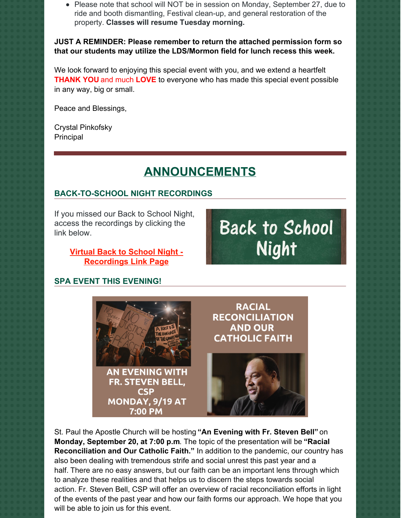• Please note that school will NOT be in session on Monday, September 27, due to ride and booth dismantling, Festival clean-up, and general restoration of the property. **Classes will resume Tuesday morning.**

**JUST A REMINDER: Please remember to return the attached permission form so that our students may utilize the LDS/Mormon field for lunch recess this week.**

We look forward to enjoying this special event with you, and we extend a heartfelt **THANK YOU** and much **LOVE** to everyone who has made this special event possible in any way, big or small.

Peace and Blessings,

Crystal Pinkofsky Principal

# **ANNOUNCEMENTS**

## **BACK-TO-SCHOOL NIGHT RECORDINGS**

If you missed our Back to School Night, access the recordings by clicking the link below.

## **Virtual Back to School Night - [Recordings](https://school.sp-apostle.org/2021-back-to-school-night-zoom-links) Link Page**

## **SPA EVENT THIS EVENING!**



St. Paul the Apostle Church will be hosting **"An Evening with Fr. Steven Bell"** on **Monday, September 20, at 7:00 p.m**. The topic of the presentation will be **"Racial Reconciliation and Our Catholic Faith."** In addition to the pandemic, our country has also been dealing with tremendous strife and social unrest this past year and a half. There are no easy answers, but our faith can be an important lens through which to analyze these realities and that helps us to discern the steps towards social action. Fr. Steven Bell, CSP will offer an overview of racial reconciliation efforts in light of the events of the past year and how our faith forms our approach. We hope that you will be able to join us for this event.

**Back to School Night**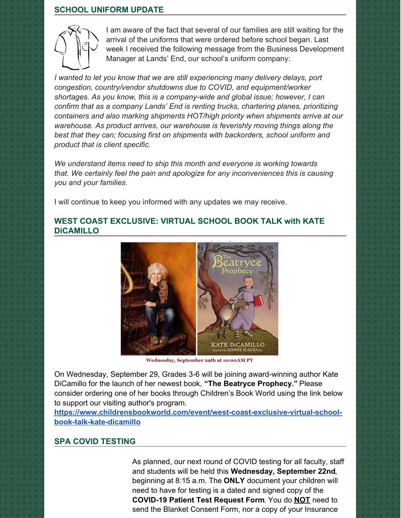#### **SCHOOL UNIFORM UPDATE**



I am aware of the fact that several of our families are still waiting for the arrival of the uniforms that were ordered before school began. Last week I received the following message from the Business Development Manager at Lands' End, our school's uniform company:

*I wanted to let you know that we are still experiencing many delivery delays, port congestion, country/vendor shutdowns due to COVID, and equipment/worker shortages. As you know, this is a company-wide and global issue; however, I can confirm that as a company Lands' End is renting trucks, chartering planes, prioritizing containers and also marking shipments HOT/high priority when shipments arrive at our warehouse. As product arrives, our warehouse is feverishly moving things along the best that they can; focusing first on shipments with backorders, school uniform and product that is client specific.*

*We understand items need to ship this month and everyone is working towards that. We certainly feel the pain and apologize for any inconveniences this is causing you and your families.*

I will continue to keep you informed with any updates we may receive.

### **WEST COAST EXCLUSIVE: VIRTUAL SCHOOL BOOK TALK with KATE DiCAMILLO**



Wednesday, September 29th at 10:00AM PT

On Wednesday, September 29, Grades 3-6 will be joining award-winning author Kate DiCamillo for the launch of her newest book, **"The Beatryce Prophecy."** Please consider ordering one of her books through Children's Book World using the link below to support our visiting author's program.

**[https://www.childrensbookworld.com/event/west-coast-exclusive-virtual-school](https://www.childrensbookworld.com/event/west-coast-exclusive-virtual-school-book-talk-kate-dicamillo)book-talk-kate-dicamillo**

#### **SPA COVID TESTING**

As planned, our next round of COVID testing for all faculty, staff and students will be held this **Wednesday, September 22nd**, beginning at 8:15 a.m. The **ONLY** document your children will need to have for testing is a dated and signed copy of the **COVID-19 Patient Test Request Form**. You do **NOT** need to send the Blanket Consent Form, nor a copy of your Insurance